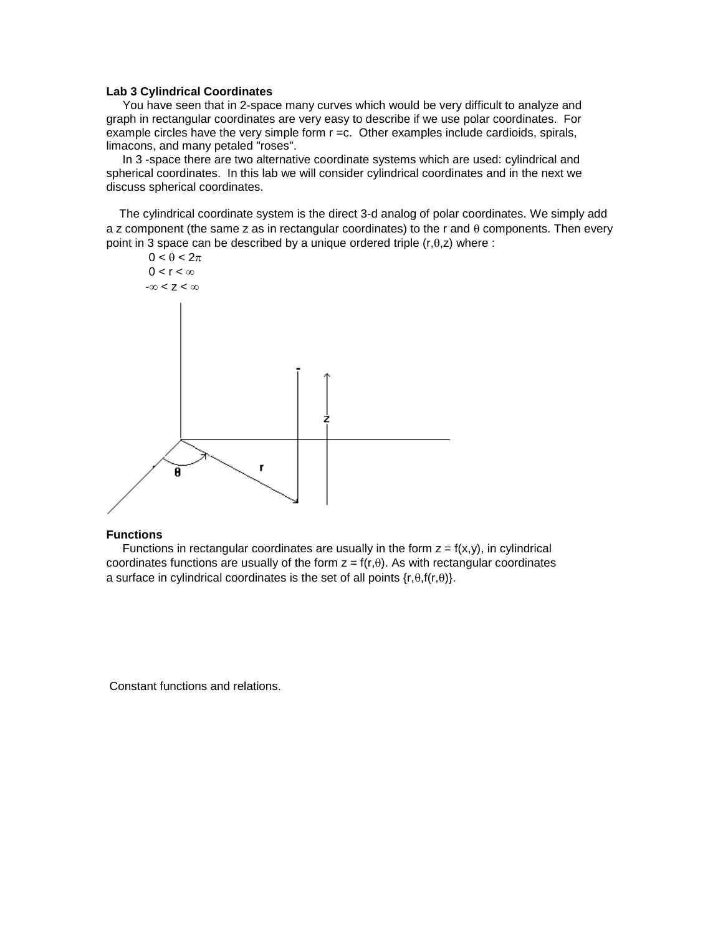## **Lab 3 Cylindrical Coordinates**

 You have seen that in 2-space many curves which would be very difficult to analyze and graph in rectangular coordinates are very easy to describe if we use polar coordinates. For example circles have the very simple form r =c. Other examples include cardioids, spirals, limacons, and many petaled "roses".

 In 3 -space there are two alternative coordinate systems which are used: cylindrical and spherical coordinates. In this lab we will consider cylindrical coordinates and in the next we discuss spherical coordinates.

 The cylindrical coordinate system is the direct 3-d analog of polar coordinates. We simply add a z component (the same z as in rectangular coordinates) to the r and  $\theta$  components. Then every point in 3 space can be described by a unique ordered triple  $(r, \theta, z)$  where :



#### **Functions**

Functions in rectangular coordinates are usually in the form  $z = f(x,y)$ , in cylindrical coordinates functions are usually of the form  $z = f(r, \theta)$ . As with rectangular coordinates a surface in cylindrical coordinates is the set of all points  $\{r,\theta,f(r,\theta)\}.$ 

Constant functions and relations.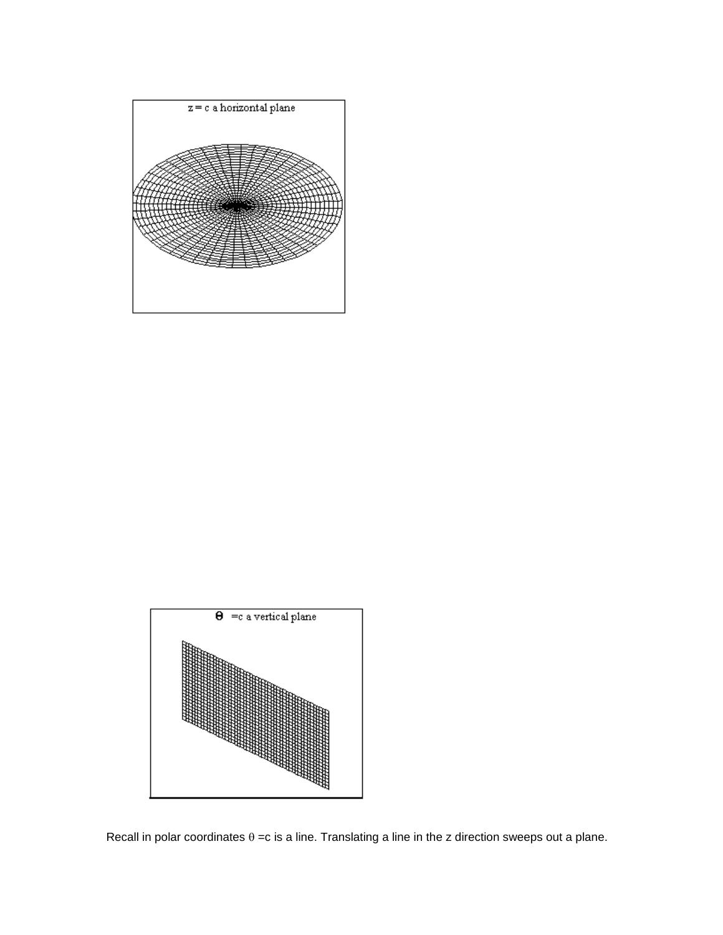



Recall in polar coordinates  $\theta = c$  is a line. Translating a line in the z direction sweeps out a plane.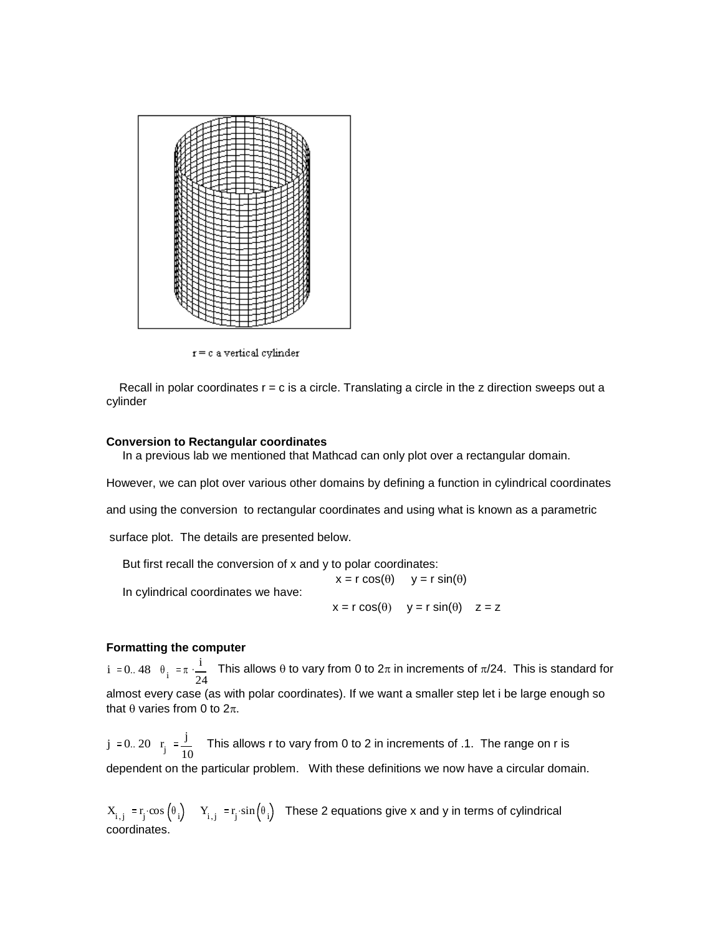

 $r = c$  a vertical cylinder

Recall in polar coordinates  $r = c$  is a circle. Translating a circle in the  $z$  direction sweeps out a cylinder

#### **Conversion to Rectangular coordinates**

In a previous lab we mentioned that Mathcad can only plot over a rectangular domain.

However, we can plot over various other domains by defining a function in cylindrical coordinates

and using the conversion to rectangular coordinates and using what is known as a parametric

surface plot. The details are presented below.

 But first recall the conversion of x and y to polar coordinates:  $x = r \cos(\theta)$   $y = r \sin(\theta)$  In cylindrical coordinates we have:  $x = r \cos(\theta)$   $y = r \sin(\theta)$   $z = z$ 

### **Formatting the computer**

i := 0.. 48  $\theta_i$  :=  $\pi \cdot \frac{i}{2}$ 24  $\frac{1}{2}$  This allows  $\theta$  to vary from 0 to  $2\pi$  in increments of  $\pi/24$ . This is standard for almost every case (as with polar coordinates). If we want a smaller step let i be large enough so that  $\theta$  varies from 0 to  $2\pi$ .

 $j \approx 0..20$  r<sub>j</sub> j 10 This allows r to vary from 0 to 2 in increments of .1. The range on r is dependent on the particular problem. With these definitions we now have a circular domain.

 $X_{i,j} = r_j \cos(\theta_i) - Y_{i,j} = r_j \sin(\theta_i)$  These 2 equations give x and y in terms of cylindrical coordinates.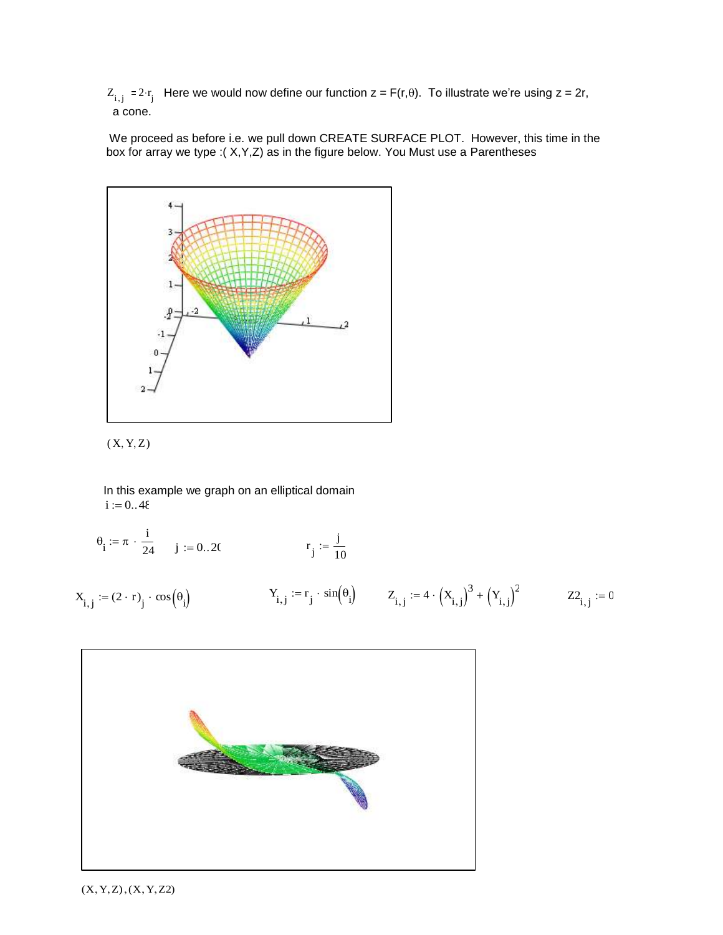$Z_{i,j} = 2 \cdot r_j$  Here we would now define our function  $z = F(r, \theta)$ . To illustrate we're using  $z = 2r$ , a cone.

We proceed as before i.e. we pull down CREATE SURFACE PLOT. However, this time in the box for array we type :( X,Y,Z) as in the figure below. You Must use a Parentheses





i

In this example we graph on an elliptical domain  $i := 0..48$ 

$$
\theta_i := \pi \cdot \frac{1}{24}
$$
 j := 0..20  
\n $r_j := \frac{j}{10}$   
\n $X_{i,j} := (2 \cdot r)_j \cdot \cos(\theta_i)$   $Y_{i,j} := r_j \cdot \sin(\theta_i)$   $Z_{i,j} := 4 \cdot (X_{i,j})^3 + (Y_{i,j})^2$   $Z_{i,j} := 0$ 



 $(X, Y, Z), (X, Y, Z2)$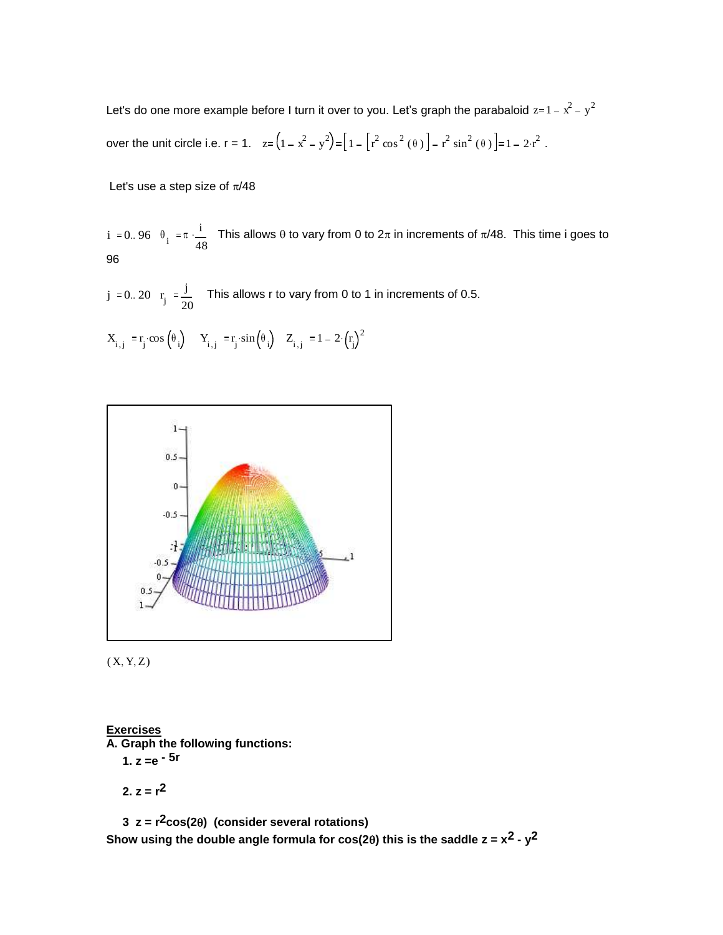Let's do one more example before I turn it over to you. Let's graph the parabaloid  $z=1-x^2-y^2$ over the unit circle i.e.  $r = 1$ .  $z = (1 - x^2 - y^2) = |1 - r^2 \cos^2(\theta)| - r^2 \sin^2(\theta)| = 1 - 2 \cdot r^2$ .

Let's use a step size of  $\pi/48$ 

i := 0.. 96  $\theta_i$  :=  $\pi \cdot \frac{i}{4}$ 48  $\frac{1}{2}$  This allows  $\theta$  to vary from 0 to  $2\pi$  in increments of  $\pi/48$ . This time i goes to 96

 $j \approx 0..20$  r<sub>j</sub> j 20 This allows r to vary from 0 to 1 in increments of 0.5.

$$
X_{i\,,\,j}\,\mathrel{\mathop:}= \!r_j\!\cdot \!\cos\left(\!\theta_{\,i}\!\right) \quad Y_{i\,,\,j}\,\mathrel{\mathop:}= \!r_j\!\cdot \!\sin\left(\!\theta_{\,i}\!\right) \quad Z_{i\,,\,j}\,\mathrel{\mathop:}= \!1-2\!\cdot \!\left(\!r_j\!\right)^2
$$



 $(X, Y, Z)$ 

# **Exercises**

**A. Graph the following functions:**

 **1. z =e - 5r**

2. 
$$
z = r^2
$$

 **3 z = r2cos(2) (consider several rotations)**  Show using the double angle formula for  $cos(2\theta)$  this is the saddle  $z = x^2 - y^2$